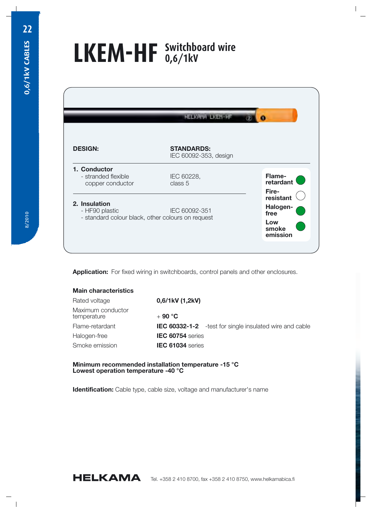## **LKEM-HF Switchboard wire 0,6/1kV**

| <b>DESIGN:</b>                                                                       | <b>STANDARDS:</b><br>IEC 60092-353, design |                                                                    |
|--------------------------------------------------------------------------------------|--------------------------------------------|--------------------------------------------------------------------|
| 1. Conductor<br>- stranded flexible<br>copper conductor                              | IEC 60228,<br>class 5                      | Flame-<br>retardant                                                |
| 2. Insulation<br>- HF90 plastic<br>- standard colour black, other colours on request | IEC 60092-351                              | Fire-<br>resistant<br>Halogen-<br>free<br>Low<br>smoke<br>emission |

**Application:** For fixed wiring in switchboards, control panels and other enclosures.

| <b>Main characteristics</b>      |                         |                                                                 |
|----------------------------------|-------------------------|-----------------------------------------------------------------|
| Rated voltage                    | 0,6/1kV (1,2kV)         |                                                                 |
| Maximum conductor<br>temperature | $+90 °C$                |                                                                 |
| Flame-retardant                  |                         | <b>IEC 60332-1-2</b> - test for single insulated wire and cable |
| Halogen-free                     | <b>IEC 60754</b> series |                                                                 |
| Smoke emission                   | IEC 61034 series        |                                                                 |
|                                  |                         |                                                                 |

## **Minimum recommended installation temperature -15 °C Lowest operation temperature -40 °C**

**Identification:** Cable type, cable size, voltage and manufacturer's name